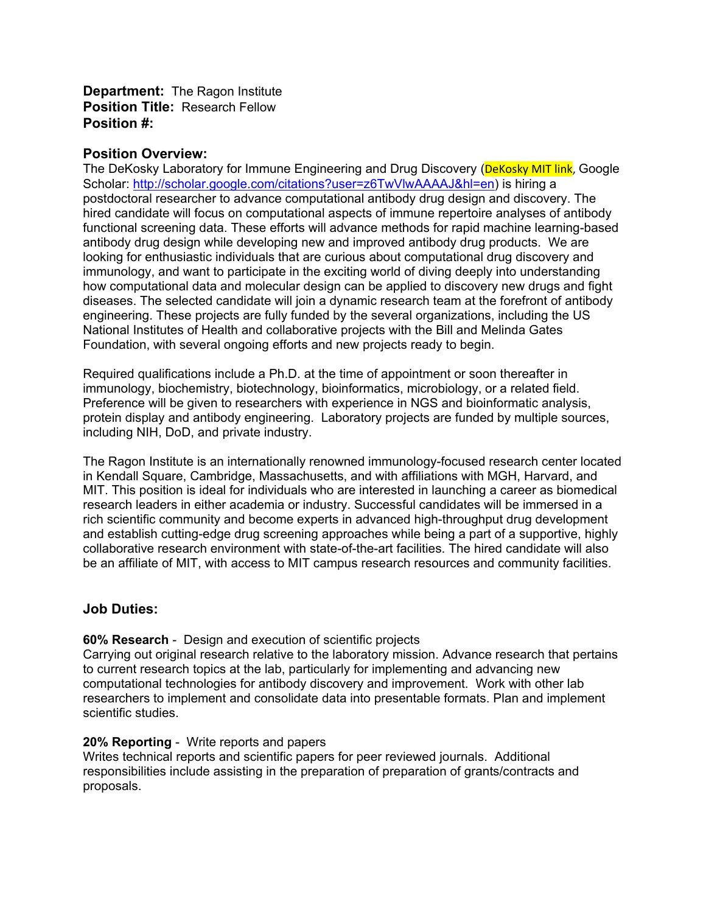**Department:** The Ragon Institute **Position Title:** Research Fellow **Position #:**

### **Position Overview:**

The DeKosky Laboratory for Immune Engineering and Drug Discovery (DeKosky MIT link, Google Scholar: [http://scholar.google.com/citations?user=z6TwVlwAAAAJ&hl=en\)](http://scholar.google.com/citations?user=z6TwVlwAAAAJ&hl=en) is hiring a postdoctoral researcher to advance computational antibody drug design and discovery. The hired candidate will focus on computational aspects of immune repertoire analyses of antibody functional screening data. These efforts will advance methods for rapid machine learning-based antibody drug design while developing new and improved antibody drug products. We are looking for enthusiastic individuals that are curious about computational drug discovery and immunology, and want to participate in the exciting world of diving deeply into understanding how computational data and molecular design can be applied to discovery new drugs and fight diseases. The selected candidate will join a dynamic research team at the forefront of antibody engineering. These projects are fully funded by the several organizations, including the US National Institutes of Health and collaborative projects with the Bill and Melinda Gates Foundation, with several ongoing efforts and new projects ready to begin.

Required qualifications include a Ph.D. at the time of appointment or soon thereafter in immunology, biochemistry, biotechnology, bioinformatics, microbiology, or a related field. Preference will be given to researchers with experience in NGS and bioinformatic analysis, protein display and antibody engineering. Laboratory projects are funded by multiple sources, including NIH, DoD, and private industry.

The Ragon Institute is an internationally renowned immunology-focused research center located in Kendall Square, Cambridge, Massachusetts, and with affiliations with MGH, Harvard, and MIT. This position is ideal for individuals who are interested in launching a career as biomedical research leaders in either academia or industry. Successful candidates will be immersed in a rich scientific community and become experts in advanced high-throughput drug development and establish cutting-edge drug screening approaches while being a part of a supportive, highly collaborative research environment with state-of-the-art facilities. The hired candidate will also be an affiliate of MIT, with access to MIT campus research resources and community facilities.

### **Job Duties:**

#### **60% Research** - Design and execution of scientific projects

Carrying out original research relative to the laboratory mission. Advance research that pertains to current research topics at the lab, particularly for implementing and advancing new computational technologies for antibody discovery and improvement. Work with other lab researchers to implement and consolidate data into presentable formats. Plan and implement scientific studies.

#### **20% Reporting** - Write reports and papers

Writes technical reports and scientific papers for peer reviewed journals. Additional responsibilities include assisting in the preparation of preparation of grants/contracts and proposals.